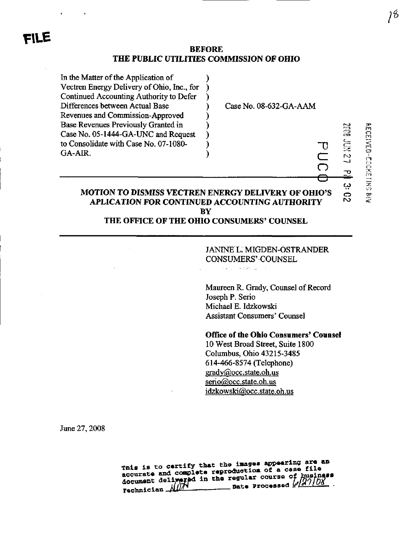### BEFORE THE PUBLIC UTILITIES COMMISSION OF OHIO

 $\lambda$  $\lambda$ λ  $\lambda$  $\lambda$ 

<sup>)</sup>

 $\lambda$  $\lambda$ 

In the Matter of the Application of Vectren Energy Defivery of Ohio, Inc., for Continued Accounting Authority to Defer Differences between Actual Base Revenues and Commission-Approved Base Revenues Previously Granted in Case No. 05-1444-GA-UNC and Request to Consolidate with Case No. 07-1080- GA-AIR.

Case No. 08-632-GA-AAM

# MOTION TO DISMISS VECTREN ENERGY DELIVERY OF OHIO'S OTION TO DISMISS VECTREN ENERGY DELIVERY OF OHIO'S  $\overline{\phantom{a}}\circ$ <br>APLICATION FOR CONTINUED ACCOUNTING AUTHORITY  $\overline{\phantom{a}}\circ$ **BY**

# THE OFFICE OF THE OHIO CONSUMERS' COUNSEL

JANINE L. MIGDEN-OSTRANDER CONSUMERS'COUNSEL

 $\delta(\alpha_{\rm max}) = 2.76$  and  $\beta=3$ 

Maureen R. Grady, Counsel of Record Joseph P. Serio Michael E. Idzkowski Assistant Consumers' Counsel

Office of the Ohio Consumers' Counsel 10 West Broad Street, Suite 1800 Columbus, Ohio 43215-3485 614-466-8574 (Telephone) grady@occ.state.oh.us serio@occ.state.oh.us idzkowski@occ,state.oh.us

June 27,2008

This is to certify that the images appearing are an accurate and complete reproduction of a case file accurate and complete reproduction or a case interest<br>document delivered in the regular course of business<br>nate Processed (2010) Date Processed  $\ell$ Technician

 $\iota$ 

n  $\boldsymbol{\omega}$   $\boldsymbol{\Xi}$ 

**12 Kill** 

 $\frac{1}{2}$ 

"0

 $\overline{\overline{C}}$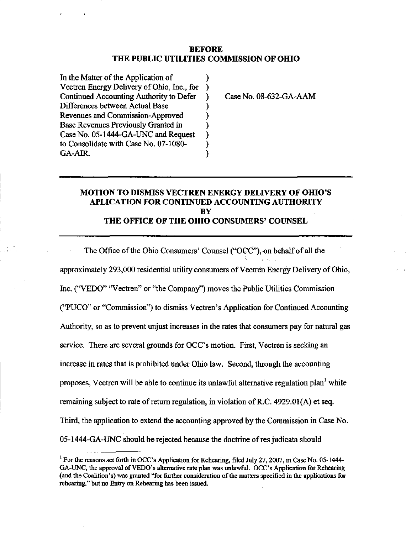#### BEFORE THE PUBLIC UTILTTIES COMMISSION OF OHIO

 $\mathcal{E}$ 

℩

In the Matter of the Application of  $\mathcal{F}$ Vectren Energy Delivery of Ohio, Inc., for  $\mathcal{F}$ Continued Accounting Authority to Defer Differences between Actual Base ) Revenues and Commission-Approved ℩ Base Revenues Previously Granted in Case No. 05-1444-GA-UNC and Request ) to Consolidate with Case No. 07-1080- ) GA-AIR. ).

Case No. 08-632-GA-AAM

## MOTION TO DISMISS VECTREN ENERGY DELIVERY OF OHIO'S APLICATION FOR CONTINUED ACCOUNTING AUTHORITY **BY** THE OFFICE OF THE OHIO CONSUMERS' COUNSEL

The Office of the Ohio Consumers' Counsel ("OCC"), on behalf of all the approximately 293,000 residential utility consumers of Vectren Energy Defivery of Ohio, Inc. ("VEDO" "Vectren" or "the Company") moves the Public Utihties Commission ("PUCO" or "Commission") to dismiss Vectren's Application for Continued Accounting Authority, so as to prevent unjust increases in the rates that consumers pay for natural gas service. There are several grounds for OCC's motion. First, Vectren is seeking an increase in rates that is prohibited under Ohio law. Second, through the accounting proposes, Vectren will be able to continue its unlawful alternative regulation plan<sup>1</sup> while remaining subject to rate of retum regulation, in violation of R.C. 4929.01(A) et seq. Third, the application to extend the accounting approved by the Commission in Case No. 05-1444-GA-UNC should be rejected because the doctrine of res judicata should

 $1$  For the reasons set forth in OCC's Application for Rehearing, filed July 27, 2007, in Case No. 05-1444-GA-UNC, the approval of VEDO's altemative rate plan was unlawful. OCC's Application for Rehearing (and the Coalition's) was granted "for fiirther consideration of the matters specified in the apphcations for rehearing," but no Entry on Rehearing has been issued.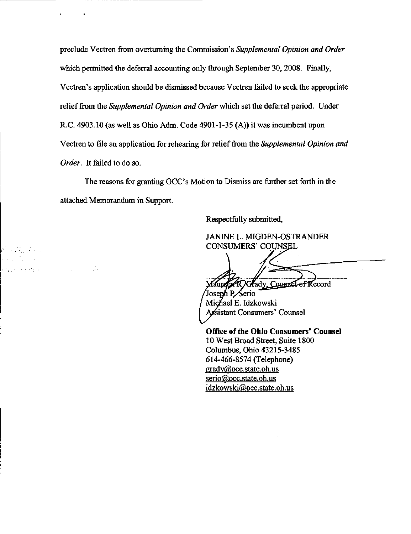preclude Vectren from overturning the Commission's Supplemental Opinion and Order which permitted the deferral accounting only through September 30, 2008. Finally, Vectren's application should be dismissed because Vectren failed to seek the appropriate relief from the Supplemental Opinion and Order which set the deferral period. Under R.C. 4903.10 (as well as Ohio Adm. Code 4901-1-35 (A)) it was incumbent upon Vectren to file an application for rehearing for relief from the Supplemental Opinion and Order. It failed to do so.

The reasons for granting OCC's Motion to Dismiss are further set forth in the attached Memorandum in Support.

ri - Pingalo a na karibana na karibana.<br>Manazarta 地名雅克利地名

i Ja

Respectfully submitted,

JANINE L. MIGDEN-OSTRANDER CONSUMERS'COUNSEL

Maure ROGrady, Counsel of Record

Josenh P⁄Serio Michael E. Idzkowski Assistant Consumers' Counsel

Office of the Ohio Consumers' Counsel 10 West Broad Street, Suite 1800 Columbus, Ohio 43215-3485 614-466-8574 (Telephone) [grady@occ.state.oh.us](mailto:grady@occ.state.oh.us)  [serio@occ.state.oh.us](mailto:serio@occ.state.oh.us)  [idzkowski@occ.state.oh.us](mailto:idzkowski@occ.state.oh.us)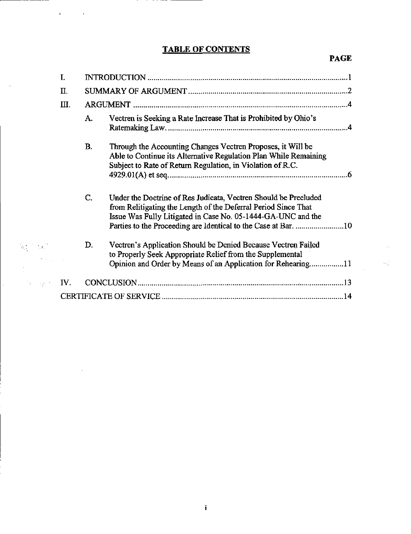# TABLE OF CONTENTS

 $\mathcal{A}^{\text{max}}_{\text{max}}$  and  $\mathcal{A}^{\text{max}}_{\text{max}}$ 

 $\hat{\beta}_N$ 

 $\sim 100$ 

 $\hat{\vec{r}}$ 

# PAGE

 $\sim$   $\sim$ 

 $\label{eq:1} \frac{\partial \phi_{\mu\nu}}{\partial \phi_{\mu\nu}} = \frac{\partial \phi_{\mu\nu}^2}{\partial \phi_{\mu\nu}}$ 

|                                                 | I.  |                                                                                                                                                                                                                                                                           |
|-------------------------------------------------|-----|---------------------------------------------------------------------------------------------------------------------------------------------------------------------------------------------------------------------------------------------------------------------------|
|                                                 | Π.  |                                                                                                                                                                                                                                                                           |
|                                                 | Ш.  |                                                                                                                                                                                                                                                                           |
|                                                 |     | Vectren is Seeking a Rate Increase That is Prohibited by Ohio's<br>A.                                                                                                                                                                                                     |
|                                                 |     | В.<br>Through the Accounting Changes Vectren Proposes, it Will be<br>Able to Continue its Alternative Regulation Plan While Remaining<br>Subject to Rate of Return Regulation, in Violation of R.C.                                                                       |
|                                                 |     | C.<br>Under the Doctrine of Res Judicata, Vectren Should be Precluded<br>from Relitigating the Length of the Deferral Period Since That<br>Issue Was Fully Litigated in Case No. 05-1444-GA-UNC and the<br>Parties to the Proceeding are Identical to the Case at Bar. 10 |
| $\mathbb{Q}_{\xi_1} \subset \mathbb{Q}_{\xi_1}$ |     | Vectren's Application Should be Denied Because Vectren Failed<br>D.<br>to Properly Seek Appropriate Relief from the Supplemental<br>Opinion and Order by Means of an Application for Rehearing11                                                                          |
| $\mathcal{O}(p)$ , and $\mathcal{O}(p)$         | IV. |                                                                                                                                                                                                                                                                           |
|                                                 |     |                                                                                                                                                                                                                                                                           |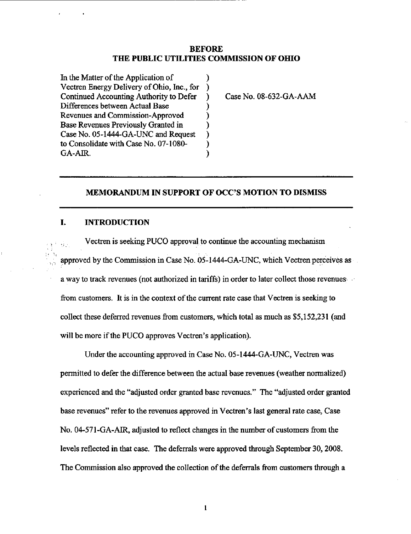#### BEFORE THE PUBLIC UTILITIES COMMISSION OF OHIO

λ

 $\mathcal{C}$ ) J. Y )  $\mathcal{E}$ ì

In the Matter of the Application of Vectren Energy Delivery of Ohio, Inc., for  $\lambda$ Continued Accounting Authority to Defer Differences between Actual Base Revenues and Commission-Approved Base Revenues Previously Granted in Case No. 05-1444-GA-UNC and Request to Consolidate with Case No. 07-1080- GA-AIR.

Case No. 08-632-GA-AAM

### MEMORANDUM IN SUPPORT OF OCC'S MOTION TO DISMISS

#### I. INTRODUCTION

Vectren is seeking PUCO approval to continue the accounting mechanism  $\hat{G}$  . approved by the Commission in Case No. 05-1444-GA-UNC, which Vectren perceives as a way to track revenues (not authorized in tariffs) in order to later collect those revenues from customers. It is in the context of the current rate case that Vectren is seeking to collect these deferred revenues from customers, which total as much as \$5,152,231 (and will be more if the PUCO approves Vectren's application).

Under the accounting approved in Case No. 05-1444-GA-UNC, Vectren was permitted to defer the difference between the actual base revenues (weather normalized) experienced and the "adjusted order granted base revenues." The "adjusted order granted base revenues" refer to the revenues approved in Vectren's last general rate case, Case No. 04-571-GA-AIR, adjusted to reflect changes in the number of customers from the levels reflected in that case. The deferrals were approved through September 30,2008. The Commission also approved the collection of the deferrals from customers through a

 $\mathbf{1}$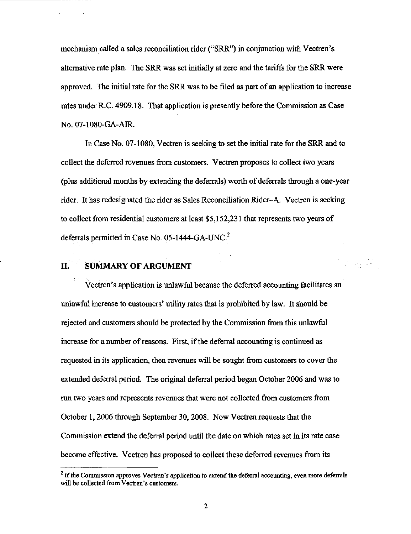mechanism called a sales reconciliation rider ("SRR") in conjunction with Vectren's altemative rate plan. The SRR was set initially at zero and the tariffs for the SRR were approved. The initial rate for the SRR was to be filed as part of an application to increase rates under R.C. 4909.18. That application is presently before the Commission as Case NO.07-1080-GA-AIR.

In Case No. 07-1080, Vectren is seeking to set the initial rate for the SRR and to collect the deferred revenues from customers. Vectren proposes to collect two years (plus additional months by extending the deferrals) worth of deferrals through a one-year rider. It has redesignated the rider as Sales Reconciliation Rider-A, Vectren is seeking to collect from residential customers at least \$5,152,231 that represents two years of deferrals permitted in Case No. 05-1444-GA-UNC. $^2$ 

### IL SUMMARY OF ARGUMENT

Vectren's application is unlawful because the deferred accounting facilitates an unlawful increase to customers' utility rates that is prohibited by law. It should be rejected and customers should be protected by the Commission from this unlawful increase for a number of reasons. First, if the deferral accounting is continued as requested in its application, then revenues will be sought from customers to cover the extended deferral period. The original deferral period began October 2006 and was to run two years and represents revenues that were not collected from customers from October 1,2006 through September 30,2008. Now Vectren requests that the Commission extend the deferral period until the date on which rates set in its rate case become effective. Vectren has proposed to collect these deferred revenues from its

 $<sup>2</sup>$  If the Commission approves Vectren's application to extend the deferral accounting, even more deferrals</sup> will be collected from Vectren's customers.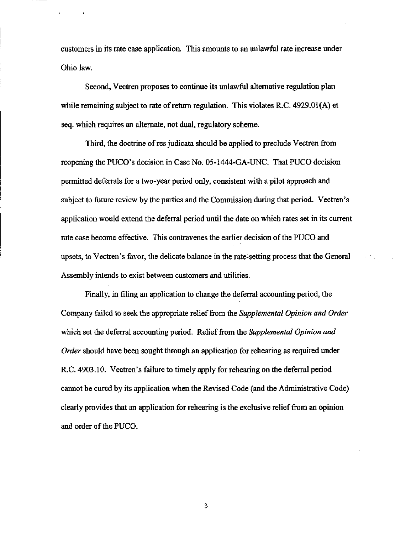customers in its rate case application. This amounts to an unlawful rate increase under Ohio law.

Second, Vectren proposes to continue its unlawful altemative regulation plan while remaining subject to rate of retum regulation. This violates R.C. 4929.01(A) et seq. which requires an alternate, not dual, regulatory scheme.

Third, the doctrine of res judicata should be applied to preclude Vectren from reopening the PUCO's decision in Case No, 05-1444-GA-UNC. That PUCO decision permitted deferrals for a two-year period only, consistent with a pilot approach and subject to future review by the parties and the Commission during that period. Vectren's application would extend the deferral period until the date on which rates set in its current rate case become effective. This contravenes the earlier decision of the PUCO and upsets, to Vectren's favor, the delicate balance in the rate-setting process that the General Assembly intends to exist between customers and utilities.

Finally, in filing an application to change the deferral accounting period, the Company failed to seek the appropriate relief from the Supplemental Opinion and Order which set the deferral accounting period. Relief from the Supplemental Opinion and Order should have been sought through an application for rehearing as required under R.C. 4903.10. Vectren's failure to timely apply for rehearing on the deferral period cannot be cured by its application when the Revised Code (and the Administrative Code) clearly provides that an apphcation for rehearing is the exclusive rehef from an opinion and order of the PUCO.

3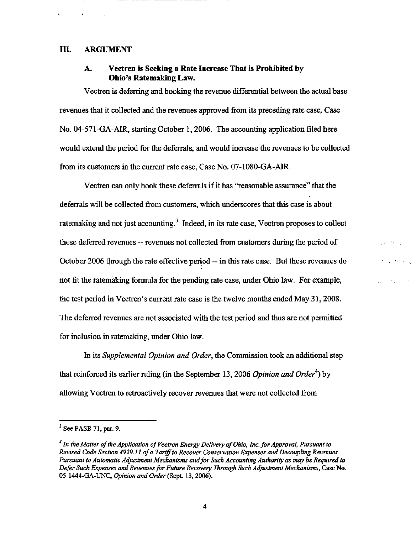#### IIL ARGUMENT

### A. Vectren is Seeking a Rate Increase That is Prohibited by Ohio's Ratemaking Law.

Vectren is deferring and booking the revenue differential between the actual base revenues that it collected and the revenues approved from its preceding rate case, Case No. 04-571-GA-AIR, starting October 1,2006. The accounting application filed here would extend the period for the deferrals, and would increase the revenues to be collected from its customers in the current rate case, Case No. 07-1080-GA-AIR.

Vectren can only book these deferrals if it has "reasonable assurance" that the deferrals will be collected from customers, which underscores that this case is about ratemaking and not just accounting. $<sup>3</sup>$  Indeed, in its rate case, Vectren proposes to collect</sup> these deferred revenues — revenues not collected from customers during the period of October 2006 through the rate effective period — in this rate case. But these revenues do not fit the ratemaking formula for the pending rate case, under Ohio law. For example, the test period in Vectren's current rate case is the twelve months ended May 31,2008. The deferred revenues are not associated with the test period and thus are not permitted for inclusion in ratemaking, under Ohio law.

In its Supplemental Opinion and Order, the Commission took an additional step that reinforced its earlier ruling (in the September 13, 2006 Opinion and Order<sup>4</sup>) by allowing Vectren to retroactively recover revenues that were not collected from

 $3$  See FASB 71, par. 9.

<sup>&</sup>lt;sup>4</sup> In the Matter of the Application of Vectren Energy Delivery of Ohio, Inc. for Approval, Pursuant to Revised Code Section 4929.11 of a Tariff to Recover Conservation Expenses and Decoupling Revenues Pursuant to Automatic Adjustment Mechanisms and for Such Accounting Authority as may be Required to Defer Such Expenses and Revenues for Future Recovery Through Such Adjustment Mechanisms, Case No. 05-1444-GA-UNC, Opinion and Order (Sept. 13, 2006).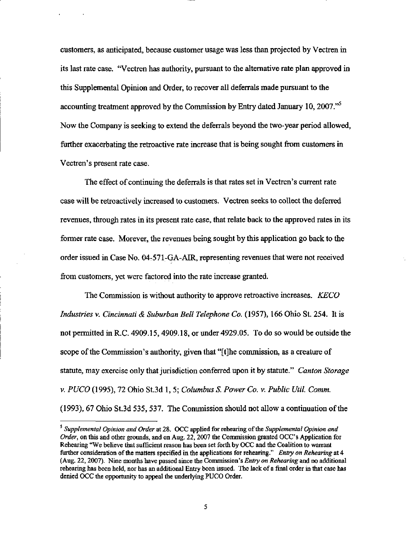customers, as anticipated, because customer usage was less than projected by Vectren in its last rate case. "Vectren has authority, pursuant to the altemative rate plan approved in this Supplemental Opinion and Order, to recover all deferrals made pursuant to the accounting treatment approved by the Commission by Entry dated January 10, 2007. $^{55}$ Now the Company is seeking to extend the deferrals beyond the two-year period allowed, further exacerbating the retroactive rate increase that is being sought from customers in Vectren's present rate case.

The effect of continuing the deferrals is that rates set in Vectren's current rate case will be retroactively increased to customers. Vectren seeks to collect the deferred revenues, through rates in its present rate case, that relate back to the approved rates in its former rate case. Morever, the revenues being sought by this application go back to the order issued in Case No. 04-571-GA-AIR, representing revenues that were not received from customers, yet were factored into the rate increase granted.

The Commission is without authority to approve retroactive increases. KECO Industries v. Cincinnati & Suburban Bell Telephone Co. (1957), 166 Ohio St. 254. It is not permitted in R.C.  $4909.15$ ,  $4909.18$ , or under  $4929.05$ . To do so would be outside the scope of the Commission's authority, given that "[t]he commission, as a creature of statute, may exercise only that jurisdiction conferred upon it by statute." Canton Storage v. PUCO (1995), 72 Ohio St.3d 1, 5; Columbus S. Power Co. v. Public Util. Comm. (1993), 67 Ohio St.3d 535, 537. The Commission should not allow a continuation of the

 $<sup>5</sup>$  Supplemental Opinion and Order at 28. OCC applied for rehearing of the Supplemental Opinion and</sup> Order, on this and other grounds, and on Aug. 22, 2007 the Commission granted OCC's Application for Rehearing "We believe that sufficient reason has been set forth by OCC and the Coalition to warrant further consideration of the matters specified in the applications for rehearing." Entry on Rehearing at 4 (Aug. 22, 2007). Nine months have passed since the Commission's *Entry on Rehearing* and no additional rehearing has been held, nor has an additional Entry been issued. The lack of a final order in that case has denied OCC the opportunity to appeal the underlying PUCO Order.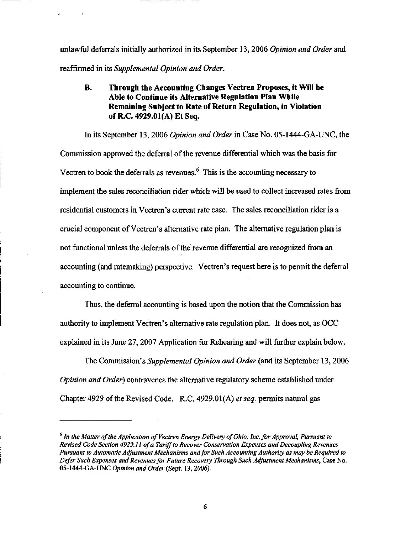unlawful deferrals initially authorized in its September 13, 2006 Opinion and Order and reaffirmed in its Supplemental Opinion and Order.

# B. Through the Accounting Changes Vectren Proposes, it Will be Able to Continue its Altemative Regulation Plan While Remaining Subject to Rate of Return Regulation, in Violation ofRC. 4929.01(A) Et Seq.

In its September 13, 2006 Opinion and Order in Case No. 05-1444-GA-UNC, the Commission approved the deferral of the revenue differential which was the basis for Vectren to book the deferrals as revenues. $<sup>6</sup>$  This is the accounting necessary to</sup> implement the sales reconciliation rider which will be used to collect increased rates from residential customers in Vectren's current rate case. The sales reconciliation rider is a crucial component of Vectren's alternative rate plan. The alternative regulation plan is not functional unless the deferrals of the revenue differential are recognized from an accounting (and ratemaking) perspective. Vectren's request here is to permit the deferral accounting to continue.

Thus, the deferral accounting is based upon the notion that the Commission has authority to implement Vectren's altemative rate regulation plan. It does not, as OCC explained in its June 27, 2007 Application for Rehearing and will further explain below.

The Commission's Supplemental Opinion and Order (and its September 13, 2006 Opinion and Order) contravenes the altemative regulatory scheme established under Chapter 4929 of the Revised Code. R.C. 4929.01 (A) et seq. permits natural gas

 $<sup>6</sup>$  In the Matter of the Application of Vectren Energy Delivery of Ohio, Inc. for Approval, Pursuant to</sup> Revised Code Section 4929.11 of a Tariff to Recover Conservation Expenses and Decoupling Revenues Pursuant to Automatic Adjustment Mechanisms and for Such Accounting Authority as may be Required to Defer Such Expenses and Revenues for Future Recovery Through Such Adjustment Mechanisms, Case No. 05-1444-GA-UNC Opinion and Order (Sept. 13, 2006).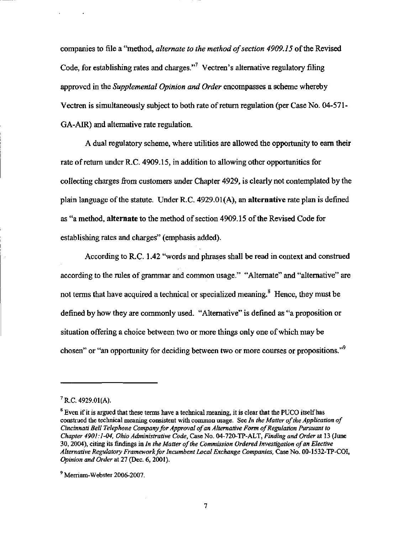companies to file a "method, alternate to the method of section 4909.15 of the Revised Code, for establishing rates and charges."<sup>7</sup> Vectren's alternative regulatory filing approved in the Supplemental Opinion and Order encompasses a scheme whereby Vectren is simultaneously subject to both rate of retum regulation (per Case No. 04-571- GA-AIR) and altemative rate regulation.

A dual regulatory scheme, where utilities are allowed the opportunity to earn their rate of retum under R.C. 4909.15, in addition to allowing other opportunities for collecting charges from customers under Chapter 4929, is clearly not contemplated by the plain language of the statute. Under R.C. 4929.01(A), an alternative rate plan is defined as "a method, alternate to the method of section 4909.15 of the Revised Code for establishing rates and charges" (emphasis added).

According to R.C. 1.42 "words and phrases shall be read in context and construed according to the rules of grammar and common usage." "Alternate" and "altemative" are not terms that have acquired a technical or specialized meaning.<sup>8</sup> Hence, they must be defined by how they are commonly used. "Altemative" is defined as "a proposition or situation offering a choice between two or more things only one of which may be chosen" or "an opportunity for deciding between two or more courses or propositions."<sup>9</sup>

 $^7$  R.C. 4929.01(A).

 $<sup>8</sup>$  Even if it is argued that these terms have a technical meaning, it is clear that the PUCO itself has</sup> construed the technical meaning consistent with common usage. See In the Matter of the Application of Cincinnati Bell Telephone Company for Approval of an Altemative Form of Regulation Pursuant to Chapter 4901:1-04. Ohio Administrative Code, Case No. 04-720-TP-ALT, Finding and Order at 13 (June 30, 2004), citing its findings in In the Matter of the Commission Ordered Investigation of an Elective Alternative Regulatory Framework for Incumbent Local Exchange Companies. Case No. 00-1532-TP-COI, Opinion and Order at 27 (Dec. 6, 2001).

<sup>&</sup>lt;sup>9</sup> Merriam-Webster 2006-2007.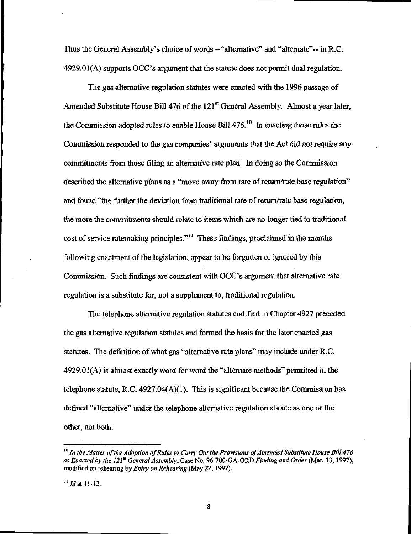Thus the General Assembly's choice of words -"alternative" and "altemate"- in R.C. 4929.01(A) supports OCC's argument that the statute does not permit dual regulation.

The gas alternative regulation statutes were enacted with the 1996 passage of Amended Substitute House Bill 476 of the  $121<sup>st</sup>$  General Assembly. Almost a year later, the Commission adopted rules to enable House Bill  $476$ .<sup>10</sup> In enacting those rules the Commission responded to the gas companies' arguments that the Act did not require any commitments from those filing an altemative rate plan. In doing so the Commission described the altemative plans as a "move away from rate of return/rate base regulation" and found \*the further the deviation from traditional rate of retum/rate base regulation, the more the commitments should relate to items which are no longer tied to traditional cost of service ratemaking principles."<sup> $11$ </sup> These findings, proclaimed in the months following enactment of the legislation, appear to be forgotten or ignored by this Commission. Such findings are consistent with OCC's argument that altemative rate regulation is a substitute for, not a supplement to, traditional regulation.

The telephone altemative regulation statutes codified in Chapter 4927 preceded the gas altemative regulation statutes and formed the basis for the later enacted gas statutes. The definition of what gas "alternative rate plans" may include under R.C.  $4929.01(A)$  is almost exactly word for word the "alternate methods" permitted in the telephone statute, R.C. 4927.04(A)(1). This is significant because the Commission has defined "altemative" under the telephone altemative regulation statute as one or the other, not both:

 $^{10}$  In the Matter of the Adoption of Rules to Carry Out the Provisions of Amended Substitute House Bill 476 as Enacted by the 121<sup>st</sup> General Assembly, Case No. 96-700-GA-ORD Finding and Order (Mar. 13, 1997), modified on rehearing by Entry on Rehearing (May 22, 1997).

 $^{11}$  *Id* at 11-12.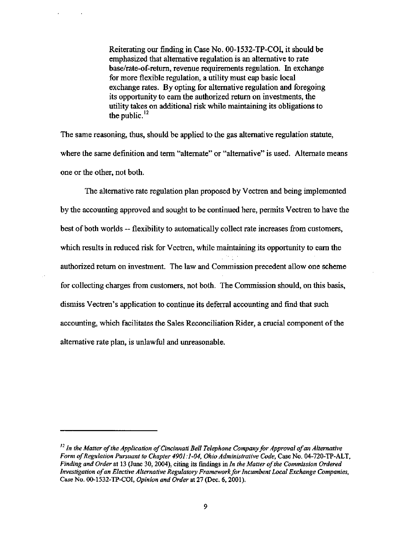Reiteratmg our finding in Case No. 00-1532-TP-COI, it should be emphasized that altemative regulation is an altemative to rate base/rate-of-retum, revenue requirements regulation. In exchange for more flexible regulation, a utility must cap basic local exchange rates. By opting for altemative regulation and foregoing its opportunity to eam the authorized retum on investments, the utility takes on additional risk while maintaining its obligations to the public. $^{12}$ 

The same reasoning, thus, should be applied to the gas altemative regulation statute, where the same definition and term "alternate" or "altemative" is used. Altemate means one or the other, not both.

The altemative rate regulation plan proposed by Vectren and being implemented by the accounting approved and sought to be continued here, permits Vectren to have the best of both worlds ~ flexibility to automatically collect rate increases from customers, which results in reduced risk for Vectren, while maintaining its opportunity to earn the authorized retum on investment. The law and Commission precedent allow one scheme for collecting charges from customers, not both. The Commission should, on this basis, dismiss Vectren's application to continue its deferral accounting and find that such accounting, which facilitates the Sales Reconciliation Rider, a cmcial component of the altemative rate plan, is unlawful and unreasonable.

 $^{12}$  In the Matter of the Application of Cincinnati Bell Telephone Company for Approval of an Alternative Form of Regulation Pursuant to Chapter 4901:1-04, Ohio Administrative Code, Case No. 04-720-TP-ALT, Finding and Order at 13 (June 30, 2004), citing its findings in In the Matter of the Commission Ordered Investigation of an Elective Altemative Regulatory Framework for Incumbent Local Exchange Companies, Case No. 00-1532-TP-COI, Opinion and Order at 27 (Dec. 6, 2001).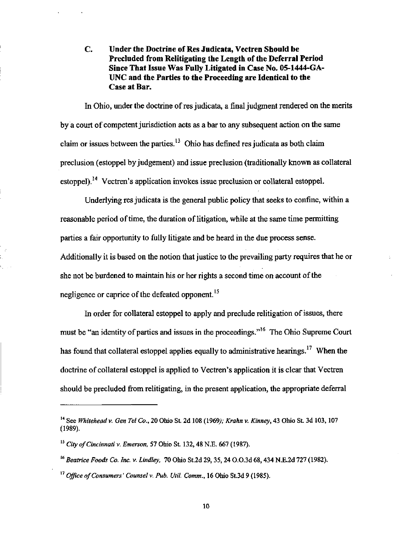C. Under the Doctrine of Res Judicata, Vectren Should be Precluded from Relitigating the Length of the Deferral Period Since That Issue Was Fully Litigated in Case No- 05-1444-GA-UNC and the Parties to the Proceeding are Identical to the Case at Bar.

In Ohio, under the doctrine of res judicata, a final judgment rendered on the merits by a court of competent jurisdiction acts as a bar to any subsequent action on the same claim or issues between the parties.<sup>13</sup> Ohio has defined res judicata as both claim preclusion (estoppel by judgement) and issue preclusion (traditionally known as collateral estoppel).<sup> $14$ </sup> Vectren's application invokes issue preclusion or collateral estoppel.

Underlying res judicata is the general public policy that seeks to confine, within a reasonable period of time, the duration of litigation, while at the same time permitting parties a fair opportunity to fully litigate and be heard in the due process sense. Additionally it is based on the notion that justice to the prevailing party requires that he or she not be burdened to maintain his or her rights a second time on account of the negligence or caprice of the defeated opponent.<sup>15</sup>

In order for collateral estoppel to apply and preclude relitigation of issues, there must be "an identity of parties and issues in the proceedings."<sup>16</sup> The Ohio Supreme Court has found that collateral estoppel applies equally to administrative hearings.<sup>17</sup> When the doctrine of collateral estoppel is applied to Vectren's application it is clear that Vectren should be precluded from relitigating, in the present application, the appropriate deferral

<sup>&</sup>lt;sup>14</sup> See Whitehead v. Gen Tel Co., 20 Ohio St. 2d 108 (1969); Krahn v. Kinney, 43 Ohio St. 3d 103, 107 (1989).

 $^{15}$  City of Cincinnati v. Emerson, 57 Ohio St. 132, 48 N.E. 667 (1987).

 $^{16}$  Beatrice Foods Co. Inc. v. Lindley, 70 Ohio St.2d 29, 35, 24 O.O.3d 68, 434 N.E.2d 727 (1982).

 $^{17}$  Office of Consumers' Counsel v. Pub. Util. Comm., 16 Ohio St.3d 9 (1985).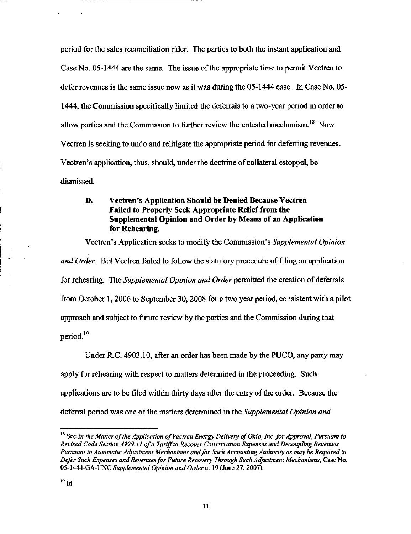period for the sales reconciliation rider. The parties to both the instant application and Case No. 05-1444 are the same. The issue of the appropriate time to permit Vectren to defer revenues is the same issue now as it was during the 05-1444 case. In Case No. 05- 1444, the Commission specifically limited the deferrals to a two-year period in order to allow parties and the Commission to further review the untested mechanism.<sup>18</sup> Now Vectren is seeking to undo and relitigate the appropriate period for deferring revenues. Vectren's application, thus, should, under the doctrine of collateral estoppel, be dismissed.

# D. Vectren's Application Should be Denied Because Vectren Failed to Properly Seek Appropriate Relief from the Supplemental Opinion and Order by Means of an Application for Rehearing.

Vectren's Application seeks to modify the Commission's Supplemental Opinion and Order. But Vectren failed to follow the statutory procedure of filing an application for rehearing. The Supplemental Opinion and Order permitted the creation of deferrals from October 1,2006 to September 30,2008 for a two year period, consistent with a pilot approach and subject to futine review by the parties and the Commission during that period.<sup>19</sup>

Under R.C. 4903.10, after an order has been made by the PUCO, any party may apply for rehearing with respect to matters determined in the proceeding. Such apphcations are to be filed within thirty days after the entry of the order. Because the deferral period was one of the matters determined in the Supplemental Opinion and

 $\mathbb{R}^{\infty}$  .

 $^{18}$  See In the Matter of the Application of Vectren Energy Delivery of Ohio, Inc. for Approval, Pursuant to Revised Code Section 4929.11 of a Tariff to Recover Conservation Expenses and Decoupling Revenues Pursuant to Automatic Adjustment Mechanisms and for Such Accounting Authority as may be Required to Defer Such Expenses and Revenues for Future Recovery Through Such Adjustment Mechanisms, Case No. 05-1444-GA-UNC Supplemental Opinion and Order at 19 (June 27,2007).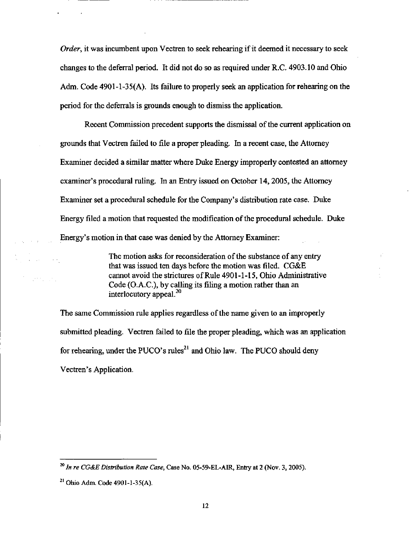Order, it was incumbent upon Vectren to seek rehearing if it deemed it necessary to seek changes to the deferral period. It did not do so as required under R.C. 4903.10 and Ohio Adm. Code 4901-1-35(A). Its failure to properly seek an application for rehearing on the period for the deferrals is grounds enough to dismiss the application.

Recent Commission precedent supports the dismissal of the current application on grounds that Vectren failed to file a proper pleading. In a recent case, the Attomey Examiner decided a similar matter where Duke Energy improperly contested an attomey examiner's procedural ruling. In an Entry issued on October 14, 2005, the Attorney Examiner set a procedural schedule for the Company's distribution rate case. Duke Energy filed a motion that requested the modification of the procedural schedule. Duke Energy's motion in that case was denied by the Attomey Examiner:

> The motion asks for reconsideration of the substance of any entry that was issued ten days before the motion was filed. CG&E cannot avoid the strictures of Rule 4901-1-15, Ohio Administrative Code (O.A.C.), by calling its filing a motion rather than an interlocutory appeal.<sup>20</sup>

The same Commission rule applies regardless of the name given to an improperly submitted pleading. Vectren failed to file the proper pleading, which was an application for rehearing, under the PUCO's rules<sup>21</sup> and Ohio law. The PUCO should deny Vectren's Application.

 $\sim 10^{11}$  ,  $\sim 10^{11}$ 

 $^{20}$  In re CG&E Distribution Rate Case, Case No. 05-59-EL-AIR, Entry at 2 (Nov. 3, 2005).

 $^{21}$  Ohio Adm. Code 4901-1-35(A).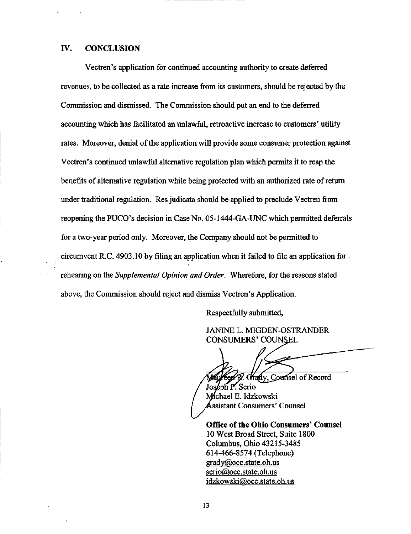#### IV. CONCLUSION

Vectren's application for continued accounting authority to create deferred revenues, to be collected as a rate increase from its customers, should be rejected by the Commission and dismissed. The Commission should put an end to the deferred accounting which has facilitated an unlawful, retroactive increase to customers' utility rates. Moreover, denial of the application will provide some consumer protection against Vectren's continued unlawful altemative regulation plan which permits it to reap the benefits of altemative regulation while being protected with an authorized rate of retum imder traditional regulation. Res judicata should be applied to preclude Vectren from reopening the PUCO's decision in Case No. 05-1444-GA-UNC which permitted deferrals for a two-year period only. Moreover, the Company should not be permitted to circumvent R.C. 4903.10 by filing an application when it failed to file an apphcation for rehearing on the Supplemental Opinion and Order. Wherefore, for the reasons stated above, the Commission should reject and dismiss Vectren's Apphcation.

Respectfully submitted,

JANINE L. MIGDEN-OSTRANDER CONSUMERS' COUNSEL

**Crady**, Counsel of Record

Joseph P. Serio Mchael E. Idzkowski ssistant Consumers' Counsel

Office of the Ohio Consumers' Counsel 10 West Broad Street, Suite 1800 Columbus, Ohio 43215-3485 614-466-8574 (Telephone) [gradv@occ.state.oh.us](mailto:gradv@occ.state.oh.us)  [serio@occ.state.oh.us](mailto:serio@occ.state.oh.us)  idzkowski@occ.state.oh,us